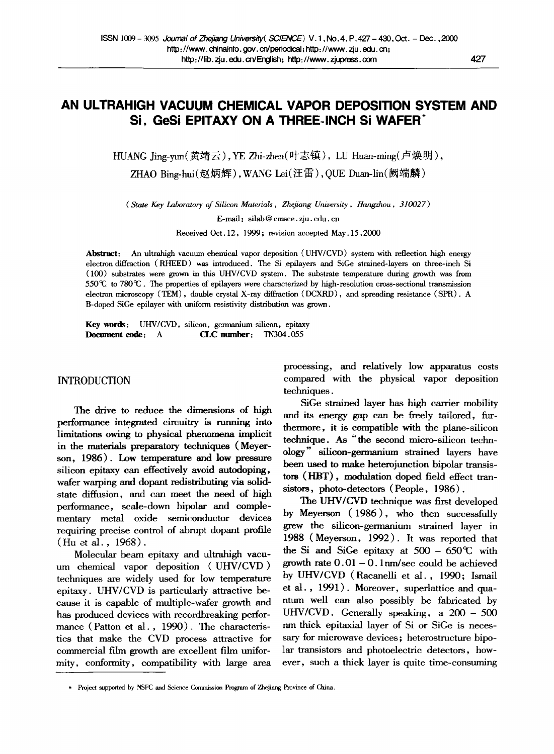# **AN ULTRAHIGH VACUUM CHEMICAL VAPOR DEPOSITION SYSTEM AND**  Si, GeSi EPITAXY ON A THREE-INCH SI WAFER<sup>®</sup>

HUANG Jing-yun(黄靖云), YE Zhi-zhen(叶志镇), LU Huan-ming(卢焕明),

ZHAO Bing-hui(赵炳辉), WANG Lei(汪雷), OUE Duan-lin(阙端麟)

*(State Key Laboratory of Silicon Materials, Zhejiang University, Hangzhou, 310027)* 

E-mail : silab@ cmsce, zju. edu. cn

Received Oct. 12, 1999; revision accepted May. 15,2000

Abstract: An ultrahigh vacuum chemical vapor deposition (UHV/CVD) system with reflection high energy electron diffraction (RHEED) was introduced. The Si epilayers and SiGe strained-layers on three-inch Si (100) substrates were grown in this UHV/CVD system. The substrate temperature during growth was from  $550^{\circ}\text{C}$  to  $780^{\circ}\text{C}$ . The properties of epilayers were characterized by high-resolution cross-sectional transmission electron microscopy (TEM), double crystal X-ray diffraction (DCXRD), and spreading resistance (SPR). A B-doped SiGe epilayer with uniform resistivity distribution was grown.

Key words: UHV/CVD, silicon, germanium-silicon, epitaxy **Document code:** A **CLC number: TN304.055** 

## INTRODUCTION

The drive to reduce the dimensions of high perfommnce integrated circuitry is running into limitations owing to physical phenomena implicit in the materials preparatory techniques (Meyerson, 1986). Low temperature and low pressure silicon epitaxy can effectively avoid autodoping, wafer warping and dopant redistributing via solidstate diffusion, and can meet the need of high performance, scale-down bipolar and complementary metal oxide semiconductor devices requiring precise control of abrupt dopant profile (Hu et al., 1968).

Molecular beam epitaxy and ultrahigh vacuum chemical vapor deposition (UHV/CVD) techniques are widely used for low temperature epitaxy. UHV/CVD is particularly attractive because it is capable of multiple-wafer growth and has produced devices with recordbreaking performance (Patton et al., 1990). The characteristics that make the CVD process attractive for commercial film growth are excellent film uniformity, conformity, compatibility with large area processing, and relatively low apparatus costs compared with the physical vapor deposition techniques.

SiGe strained layer has high carrier mobility and its energy gap can be freely tailored, furthermore, it is compatible with the plane-silicon technique. As *"the* second micro-silicon technology" silicon-germanium strained layers have been used to make heterojunction bipolar transistors (HBT), modulation doped field effect transistors, photo-detectors (People, 1986).

The UHV/CVD technique was first developed by Meyerson (1986), who then successfully grew the silicon-germanium strained layer in 1988 (Meyerson, 1992). It was reported that the Si and SiGe epitaxy at  $500 - 650^{\circ}$  with growth rate  $0.01 - 0.1$  nm/sec could be achieved by UHV/CVD (Racanelli et al., 1990; Ismail et al., 1991). Moreover, superlattice and quantum well can also possibly be fabricated by UHV/CVD. Generally speaking, a 200- 500 nm thick epitaxial layer of Si or SiGe is necessary for microwave devices; heterostructure bipolar transistors and photoelectric detectors, however, such a thick layer is quite time-consuming

<sup>\*</sup> Project supported by NSFC and Science Commission Program of Zhejiang Province of China.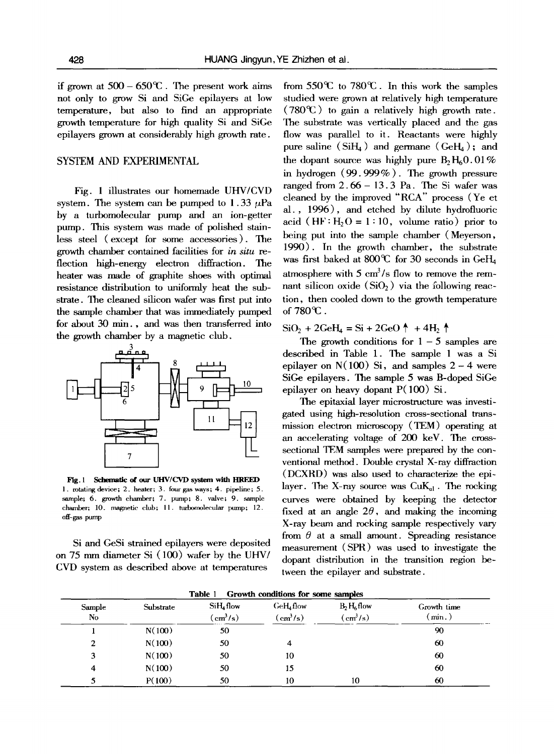if grown at  $500 - 650^{\circ}$ . The present work aims not only to grow Si and SiGe epilayers at low temperature, but also to find an appropriate growth temperature for high quality Si and SiGe epilayers grown at considerably high growth rate.

### SYSTEM AND FXPERIMENTAL

Fig. 1 illustrates our homemade UHV/CVD system. The system can be pumped to 1.33  $\mu$ Pa by a turbomolecular pump and an ion-getter pump. This system was made of polished stainless steel (except for some accessories ). The growth chamber contained facilities for *in situ re*flection high-energy electron diffraction. The heater was made of graphite shoes with optimal resistance distribution to uniformly heat the substrate. The cleaned silicon wafer was first put into the sample chamber that was immediately pumped for about 30 min., and was then transferred into the growth chamber by a magnetic club.



Fig. 1 Schematic of our UHV/CVD system with HREED 1. rotating device; 2. heater; 3. four gas ways; 4. pipeline; 5. sample; 6. growth chamber; 7. pump; 8. valve; 9. sample chamber; 10. magnetic club; 11. turbomolecular pump; 12. off-gas pump

Si and GeSi strained epilayers were deposited on 75 nun diameter Si (100) wafer by the UHV/ CVD system as described above at temperatures

from  $550^{\circ}$  to  $780^{\circ}$ . In this work the samples studied were grown at relatively high temperature  $(780^{\circ}\text{C})$  to gain a relatively high growth rate. The substrate was vertically placed and the gas flow was parallel to it. Reactants were highly pure saline  $(SiH_4)$  and germane  $(GeH_4)$ ; and the dopant source was highly pure  $B_2H_60.01\%$ in hydrogen (99. 999% ). The growth pressure ranged from  $2.66 - 13.3$  Pa. The Si wafer was cleaned by the improved "RCA" process (Ye et al., 1996), and etched by dilute hydrofluoric acid (HF:  $H_2O = 1:10$ , volume ratio) prior to being put into the sample chamber (Meyerson, 1990). In the growth chamber, the substrate was first baked at 800°C for 30 seconds in GeH<sub>4</sub> atmosphere with  $5 \text{ cm}^3/\text{s}$  flow to remove the remnant silicon oxide  $(SiO<sub>2</sub>)$  via the following reaction, then cooled down to the growth temperature of  $780^{\circ}$ .

 $SiO_2 + 2GeH_4 = Si + 2GeO \uparrow + 4H_2 \uparrow$ 

The growth conditions for  $1 - 5$  samples are described in Table 1. The sample 1 was a Si epilayer on  $N(100)$  Si, and samples  $2 - 4$  were SiGe epilayers. The sample 5 was B-doped SiGe epilayer on heavy dopant P(100) Si.

The epitaxial layer microstructure was investigated using high-resolution cross-sectional transmission electron microscopy (TEM) operating at an accelerating voltage of 200 keV. The crosssectional TEM samples were prepared by the conventional method. Double crystal X-ray diffraction (DCXRD) was also used to characterize the epilayer. The X-ray source was  $\text{CuK}_{\text{el}}$ . The rocking curves were obtained by keeping the detector fixed at an angle  $2\theta$ , and making the incoming X-ray beam and rocking sample respectively vary from  $\theta$  at a small amount. Spreading resistance measurement (SPR) was used to investigate the dopant distribution in the transition region between the epilayer and substrate.

| Table 1<br>Growth conditions for some samples |           |                               |                               |                                 |                       |
|-----------------------------------------------|-----------|-------------------------------|-------------------------------|---------------------------------|-----------------------|
| Sample<br>No                                  | Substrate | $SiH4$ flow<br>$\rm (cm^3/s)$ | $GeH4$ flow<br>$\rm (cm^3/s)$ | $B_2H_6$ flow<br>$\rm (cm^3/s)$ | Growth time<br>(min.) |
|                                               | N(100)    | 50                            |                               |                                 | 90                    |
| $\overline{2}$                                | N(100)    | 50                            | 4                             |                                 | 60                    |
| 3                                             | N(100)    | 50                            | 10                            |                                 | 60                    |
| 4                                             | N(100)    | 50                            | 15                            |                                 | 60                    |
|                                               | P(100)    | 50                            | 10                            | 10                              | 60                    |

**Table 1 Growth conditions for some samples**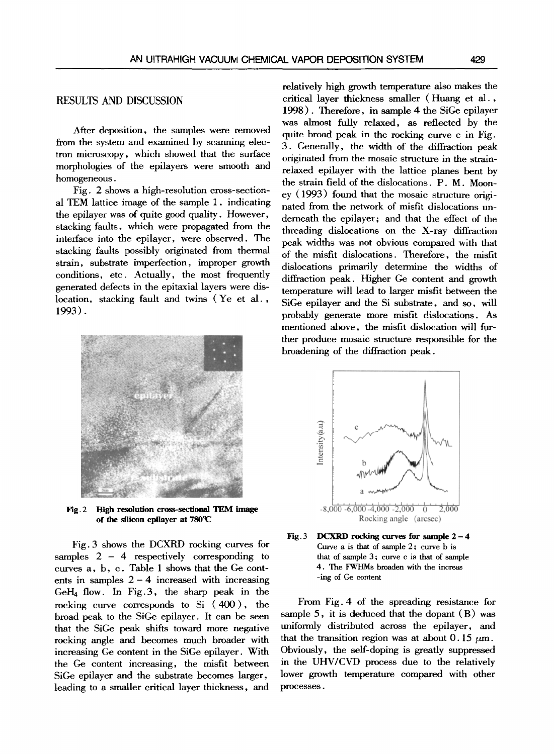After deposition, the samples were removed from the system and examined by scanning electron microscopy, which showed that the surface morphologies of the epilayers were smooth and homogeneous.

Fig. 2 shows a high-resolution cross-sectional TEM lattice image of the sample 1, indicating the epilayer was of quite good quality. However, stacking faults, which were propagated from the interface into the epilayer, were observed. The stacking faults possibly originated from thermal strain, substrate imperfection, improper growth conditions, etc. Actually, the most frequently generated defects in the epitaxial layers were dislocation, stacking fault and twins (Ye et al., 1993).



Fig. 2 High resolution cross-sectional TEM image of the silicon epilayer at  $780^{\circ}$ C

Fig. 3 shows the DCXRD rocking curves for samples  $2 - 4$  respectively corresponding to curves a, b, c. Table 1 shows that the Ge contents in samples  $2 - 4$  increased with increasing  $GeH_4$  flow. In Fig.3, the sharp peak in the rocking curve corresponds to Si  $(400)$ , the broad peak to the SiGe epilayer. It can be seen that the SiGe peak shifts toward more negative rocking angle and becomes much broader with increasing Ge content in the SiGe epilayer. With the Ge content increasing, the misfit between SiGe epilayer and the substrate becomes larger, leading to a smaller critical layer thickness, and

relatively high growth temperature also makes the critical layer thickness smaller (Huang et al., 1998). Therefore, in sample 4 the SiGe epilayer was almost fully relaxed, as reflected by the quite broad peak in the reeking curve c in Fig. 3. Generally, the width of the diffraction peak originated from the mosaic structure in the strainrelaxed epilayer with the lattice planes bent by the strain field of the dislocations. P. M. Mooney (1993) found that the mosaic structure originated from the network of misfit dislocations underneath the epilayer; and that the effect of the threading dislocations on the X-ray diffraction peak widths was not obvious compared with that of the misfit dislocations. Therefore, the misfit dislocations primarily determine the widths of diffraction peak. Higher Ge content and growth temperature will lead to larger misfit between the SiGe epilayer and the Si substrate, and so, will probably generate more misfit dislocations. As mentioned above, the misfit dislocation will further produce mosaic structure responsible for the broadening of the diffraction peak.





From Fig. 4 of the spreading resistance for sample 5, it is deduced that the dopant (B) was uniformly distributed across the epilayer, and that the transition region was at about 0.15  $\mu$ m. Obviously, the self-doping is greatly suppressed in the UHV/CVD process due to the relatively lower growth temperature compared with other processes.